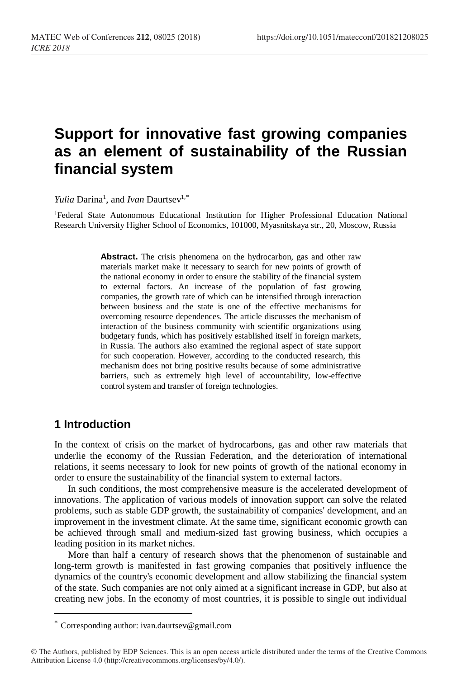# **Support for innovative fast growing companies as an element of sustainability of the Russian financial system**

*Yulia* Darina<sup>1</sup>, and *Ivan* Daurtsev<sup>1,\*</sup>

<sup>1</sup>Federal State Autonomous Educational Institution for Higher Professional Education National Research University Higher School of Economics, 101000, Myasnitskaya str., 20, Moscow, Russia

> **Abstract.** The crisis phenomena on the hydrocarbon, gas and other raw materials market make it necessary to search for new points of growth of the national economy in order to ensure the stability of the financial system to external factors. An increase of the population of fast growing companies, the growth rate of which can be intensified through interaction between business and the state is one of the effective mechanisms for overcoming resource dependences. The article discusses the mechanism of interaction of the business community with scientific organizations using budgetary funds, which has positively established itself in foreign markets, in Russia. The authors also examined the regional aspect of state support for such cooperation. However, according to the conducted research, this mechanism does not bring positive results because of some administrative barriers, such as extremely high level of accountability, low-effective control system and transfer of foreign technologies.

#### **1 Introduction**

 $\overline{a}$ 

In the context of crisis on the market of hydrocarbons, gas and other raw materials that underlie the economy of the Russian Federation, and the deterioration of international relations, it seems necessary to look for new points of growth of the national economy in order to ensure the sustainability of the financial system to external factors.

In such conditions, the most comprehensive measure is the accelerated development of innovations. The application of various models of innovation support can solve the related problems, such as stable GDP growth, the sustainability of companies' development, and an improvement in the investment climate. At the same time, significant economic growth can be achieved through small and medium-sized fast growing business, which occupies a leading position in its market niches.

More than half a century of research shows that the phenomenon of sustainable and long-term growth is manifested in fast growing companies that positively influence the dynamics of the country's economic development and allow stabilizing the financial system of the state. Such companies are not only aimed at a significant increase in GDP, but also at creating new jobs. In the economy of most countries, it is possible to single out individual

<sup>\*</sup> Corresponding author: ivan.daurtsev@gmail.com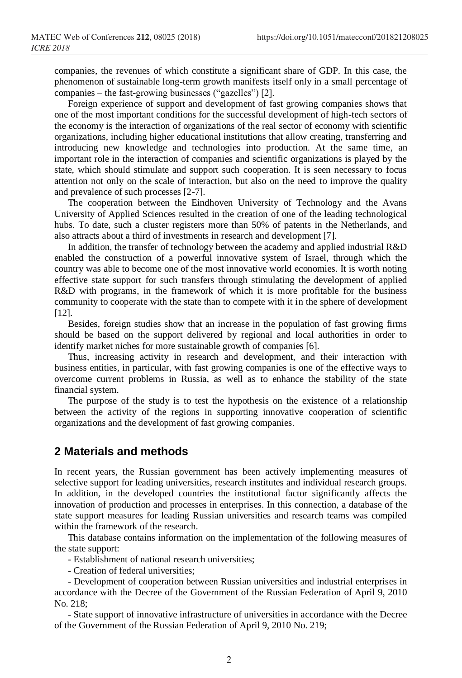companies, the revenues of which constitute a significant share of GDP. In this case, the phenomenon of sustainable long-term growth manifests itself only in a small percentage of companies – the fast-growing businesses ("gazelles") [2].

Foreign experience of support and development of fast growing companies shows that one of the most important conditions for the successful development of high-tech sectors of the economy is the interaction of organizations of the real sector of economy with scientific organizations, including higher educational institutions that allow creating, transferring and introducing new knowledge and technologies into production. At the same time, an important role in the interaction of companies and scientific organizations is played by the state, which should stimulate and support such cooperation. It is seen necessary to focus attention not only on the scale of interaction, but also on the need to improve the quality and prevalence of such processes [2-7].

The cooperation between the Eindhoven University of Technology and the Avans University of Applied Sciences resulted in the creation of one of the leading technological hubs. To date, such a cluster registers more than 50% of patents in the Netherlands, and also attracts about a third of investments in research and development [7].

In addition, the transfer of technology between the academy and applied industrial R&D enabled the construction of a powerful innovative system of Israel, through which the country was able to become one of the most innovative world economies. It is worth noting effective state support for such transfers through stimulating the development of applied R&D with programs, in the framework of which it is more profitable for the business community to cooperate with the state than to compete with it in the sphere of development [12].

Besides, foreign studies show that an increase in the population of fast growing firms should be based on the support delivered by regional and local authorities in order to identify market niches for more sustainable growth of companies [6].

Thus, increasing activity in research and development, and their interaction with business entities, in particular, with fast growing companies is one of the effective ways to overcome current problems in Russia, as well as to enhance the stability of the state financial system.

The purpose of the study is to test the hypothesis on the existence of a relationship between the activity of the regions in supporting innovative cooperation of scientific organizations and the development of fast growing companies.

### **2 Materials and methods**

In recent years, the Russian government has been actively implementing measures of selective support for leading universities, research institutes and individual research groups. In addition, in the developed countries the institutional factor significantly affects the innovation of production and processes in enterprises. In this connection, a database of the state support measures for leading Russian universities and research teams was compiled within the framework of the research.

This database contains information on the implementation of the following measures of the state support:

- Establishment of national research universities;

- Creation of federal universities;

- Development of cooperation between Russian universities and industrial enterprises in accordance with the Decree of the Government of the Russian Federation of April 9, 2010 No. 218;

- State support of innovative infrastructure of universities in accordance with the Decree of the Government of the Russian Federation of April 9, 2010 No. 219;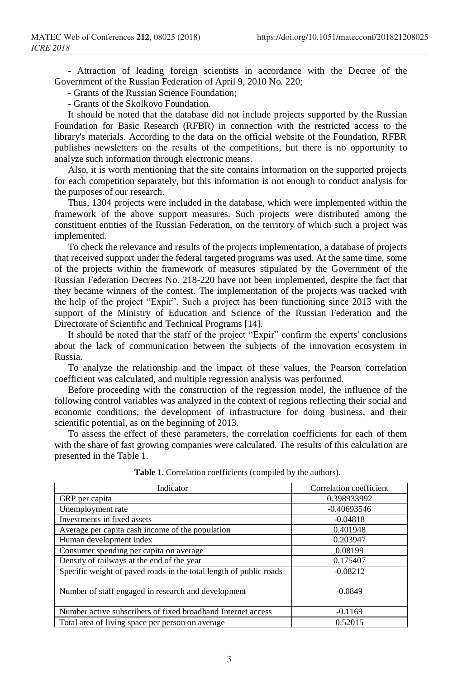- Attraction of leading foreign scientists in accordance with the Decree of the Government of the Russian Federation of April 9, 2010 No. 220;

- Grants of the Russian Science Foundation;

- Grants of the Skolkovo Foundation.

It should be noted that the database did not include projects supported by the Russian Foundation for Basic Research (RFBR) in connection with the restricted access to the library's materials. According to the data on the official website of the Foundation, RFBR publishes newsletters on the results of the competitions, but there is no opportunity to analyze such information through electronic means.

Also, it is worth mentioning that the site contains information on the supported projects for each competition separately, but this information is not enough to conduct analysis for the purposes of our research.

Thus, 1304 projects were included in the database, which were implemented within the framework of the above support measures. Such projects were distributed among the constituent entities of the Russian Federation, on the territory of which such a project was implemented.

To check the relevance and results of the projects implementation, a database of projects that received support under the federal targeted programs was used. At the same time, some of the projects within the framework of measures stipulated by the Government of the Russian Federation Decrees No. 218-220 have not been implemented, despite the fact that they became winners of the contest. The implementation of the projects was tracked with the help of the project "Expir". Such a project has been functioning since 2013 with the support of the Ministry of Education and Science of the Russian Federation and the Directorate of Scientific and Technical Programs [14].

It should be noted that the staff of the project "Expir" confirm the experts' conclusions about the lack of communication between the subjects of the innovation ecosystem in Russia.

To analyze the relationship and the impact of these values, the Pearson correlation coefficient was calculated, and multiple regression analysis was performed.

Before proceeding with the construction of the regression model, the influence of the following control variables was analyzed in the context of regions reflecting their social and economic conditions, the development of infrastructure for doing business, and their scientific potential, as on the beginning of 2013.

To assess the effect of these parameters, the correlation coefficients for each of them with the share of fast growing companies were calculated. The results of this calculation are presented in the Table 1.

| Indicator                                                          | Correlation coefficient |  |  |
|--------------------------------------------------------------------|-------------------------|--|--|
| GRP per capita                                                     | 0.398933992             |  |  |
| Unemployment rate                                                  | $-0.40693546$           |  |  |
| Investments in fixed assets                                        | $-0.04818$              |  |  |
| Average per capita cash income of the population                   | 0.401948                |  |  |
| Human development index                                            | 0.203947                |  |  |
| Consumer spending per capita on average                            | 0.08199                 |  |  |
| Density of railways at the end of the year                         | 0.175407                |  |  |
| Specific weight of paved roads in the total length of public roads | $-0.08212$              |  |  |
| Number of staff engaged in research and development                | $-0.0849$               |  |  |
| Number active subscribers of fixed broadband Internet access       | $-0.1169$               |  |  |
| Total area of living space per person on average                   | 0.52015                 |  |  |

**Table 1.** Correlation coefficients (compiled by the authors).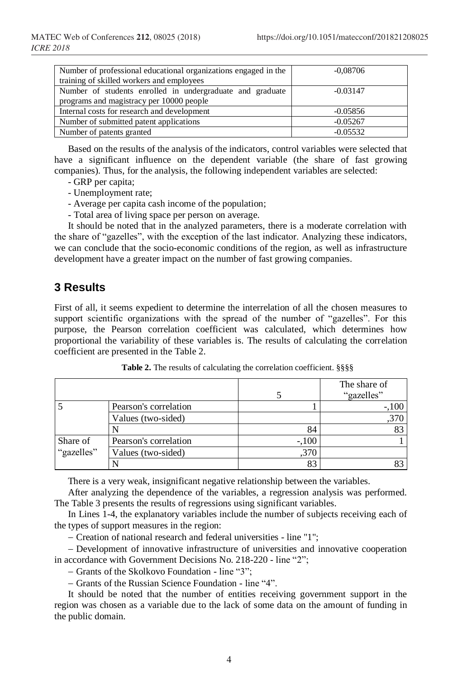| Number of professional educational organizations engaged in the | $-0.08706$ |
|-----------------------------------------------------------------|------------|
| training of skilled workers and employees                       |            |
| Number of students enrolled in undergraduate and graduate       | $-0.03147$ |
| programs and magistracy per 10000 people                        |            |
| Internal costs for research and development                     | $-0.05856$ |
| Number of submitted patent applications                         | $-0.05267$ |
| Number of patents granted                                       | $-0.05532$ |

Based on the results of the analysis of the indicators, control variables were selected that have a significant influence on the dependent variable (the share of fast growing companies). Thus, for the analysis, the following independent variables are selected:

- GRP per capita;
- Unemployment rate;
- Average per capita cash income of the population;
- Total area of living space per person on average.

It should be noted that in the analyzed parameters, there is a moderate correlation with the share of "gazelles", with the exception of the last indicator. Analyzing these indicators, we can conclude that the socio-economic conditions of the region, as well as infrastructure development have a greater impact on the number of fast growing companies.

# **3 Results**

First of all, it seems expedient to determine the interrelation of all the chosen measures to support scientific organizations with the spread of the number of "gazelles". For this purpose, the Pearson correlation coefficient was calculated, which determines how proportional the variability of these variables is. The results of calculating the correlation coefficient are presented in the Table 2.

|            |                       |         | The share of<br>"gazelles" |
|------------|-----------------------|---------|----------------------------|
|            | Pearson's correlation |         |                            |
|            | Values (two-sided)    |         | ,370                       |
|            |                       | 84      |                            |
| Share of   | Pearson's correlation | $-.100$ |                            |
| "gazelles" | Values (two-sided)    | ,370    |                            |
|            |                       | 83      |                            |

Table 2. The results of calculating the correlation coefficient. §§§§

There is a very weak, insignificant negative relationship between the variables.

After analyzing the dependence of the variables, a regression analysis was performed. The Table 3 presents the results of regressions using significant variables.

In Lines 1-4, the explanatory variables include the number of subjects receiving each of the types of support measures in the region:

− Creation of national research and federal universities - line "1";

− Development of innovative infrastructure of universities and innovative cooperation in accordance with Government Decisions No. 218-220 - line "2";

− Grants of the Skolkovo Foundation - line "3";

− Grants of the Russian Science Foundation - line "4".

It should be noted that the number of entities receiving government support in the region was chosen as a variable due to the lack of some data on the amount of funding in the public domain.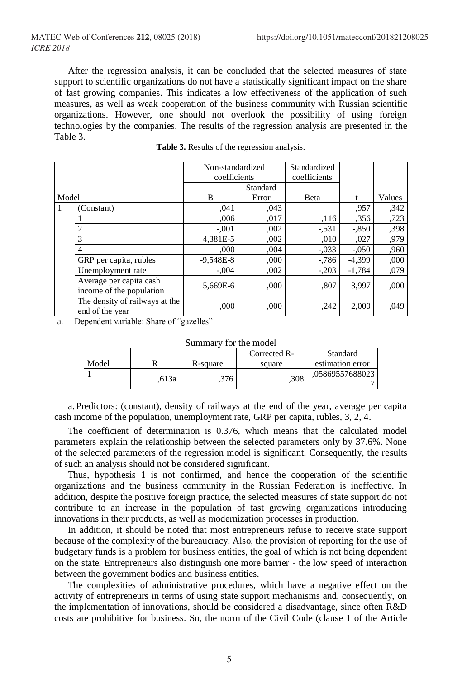After the regression analysis, it can be concluded that the selected measures of state support to scientific organizations do not have a statistically significant impact on the share of fast growing companies. This indicates a low effectiveness of the application of such measures, as well as weak cooperation of the business community with Russian scientific organizations. However, one should not overlook the possibility of using foreign technologies by the companies. The results of the regression analysis are presented in the Table 3.

|              |                                                     | Non-standardized<br>coefficients |          | Standardized<br>coefficients |          |        |
|--------------|-----------------------------------------------------|----------------------------------|----------|------------------------------|----------|--------|
|              |                                                     |                                  | Standard |                              |          |        |
| Model        |                                                     | B                                | Error    | Beta                         | t        | Values |
| $\mathbf{1}$ | (Constant)                                          | .041                             | ,043     |                              | .957     | ,342   |
|              |                                                     | ,006                             | ,017     | ,116                         | .356     | ,723   |
|              | $\overline{2}$                                      | $-.001$                          | ,002     | $-.531$                      | $-.850$  | ,398   |
|              | 3                                                   | 4,381E-5                         | ,002     | ,010                         | ,027     | ,979   |
|              | 4                                                   | ,000                             | ,004     | $-.033$                      | $-.050$  | .960   |
|              | GRP per capita, rubles                              | $-9,548E-8$                      | ,000     | $-786$                       | $-4,399$ | ,000   |
|              | Unemployment rate                                   | $-.004$                          | ,002     | $-.203$                      | $-1.784$ | ,079   |
|              | Average per capita cash<br>income of the population | 5.669E-6                         | ,000     | ,807                         | 3.997    | ,000   |
|              | The density of railways at the<br>end of the year   | ,000                             | ,000     | ,242                         | 2.000    | ,049   |

|  |  | Table 3. Results of the regression analysis. |  |
|--|--|----------------------------------------------|--|
|  |  |                                              |  |

a. Dependent variable: Share of "gazelles"

| Summary for the model |  |  |  |
|-----------------------|--|--|--|
|-----------------------|--|--|--|

|       |       |          | Corrected R- | Standard         |
|-------|-------|----------|--------------|------------------|
| Model |       | R-square | square       | estimation error |
|       | .613a | .376     | .308         | .05869557688023  |

a.Predictors: (constant), density of railways at the end of the year, average per capita cash income of the population, unemployment rate, GRP per capita, rubles, 3, 2, 4.

The coefficient of determination is 0.376, which means that the calculated model parameters explain the relationship between the selected parameters only by 37.6%. None of the selected parameters of the regression model is significant. Consequently, the results of such an analysis should not be considered significant.

Thus, hypothesis 1 is not confirmed, and hence the cooperation of the scientific organizations and the business community in the Russian Federation is ineffective. In addition, despite the positive foreign practice, the selected measures of state support do not contribute to an increase in the population of fast growing organizations introducing innovations in their products, as well as modernization processes in production.

In addition, it should be noted that most entrepreneurs refuse to receive state support because of the complexity of the bureaucracy. Also, the provision of reporting for the use of budgetary funds is a problem for business entities, the goal of which is not being dependent on the state. Entrepreneurs also distinguish one more barrier - the low speed of interaction between the government bodies and business entities.

The complexities of administrative procedures, which have a negative effect on the activity of entrepreneurs in terms of using state support mechanisms and, consequently, on the implementation of innovations, should be considered a disadvantage, since often R&D costs are prohibitive for business. So, the norm of the Civil Code (clause 1 of the Article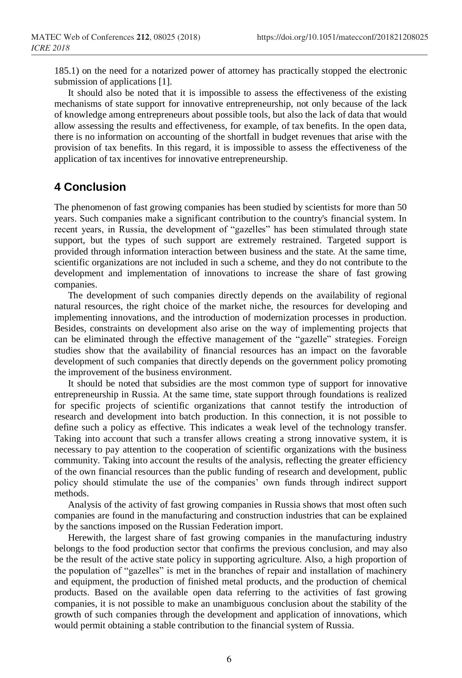185.1) on the need for a notarized power of attorney has practically stopped the electronic submission of applications [1].

It should also be noted that it is impossible to assess the effectiveness of the existing mechanisms of state support for innovative entrepreneurship, not only because of the lack of knowledge among entrepreneurs about possible tools, but also the lack of data that would allow assessing the results and effectiveness, for example, of tax benefits. In the open data, there is no information on accounting of the shortfall in budget revenues that arise with the provision of tax benefits. In this regard, it is impossible to assess the effectiveness of the application of tax incentives for innovative entrepreneurship.

# **4 Conclusion**

The phenomenon of fast growing companies has been studied by scientists for more than 50 years. Such companies make a significant contribution to the country's financial system. In recent years, in Russia, the development of "gazelles" has been stimulated through state support, but the types of such support are extremely restrained. Targeted support is provided through information interaction between business and the state. At the same time, scientific organizations are not included in such a scheme, and they do not contribute to the development and implementation of innovations to increase the share of fast growing companies.

The development of such companies directly depends on the availability of regional natural resources, the right choice of the market niche, the resources for developing and implementing innovations, and the introduction of modernization processes in production. Besides, constraints on development also arise on the way of implementing projects that can be eliminated through the effective management of the "gazelle" strategies. Foreign studies show that the availability of financial resources has an impact on the favorable development of such companies that directly depends on the government policy promoting the improvement of the business environment.

It should be noted that subsidies are the most common type of support for innovative entrepreneurship in Russia. At the same time, state support through foundations is realized for specific projects of scientific organizations that cannot testify the introduction of research and development into batch production. In this connection, it is not possible to define such a policy as effective. This indicates a weak level of the technology transfer. Taking into account that such a transfer allows creating a strong innovative system, it is necessary to pay attention to the cooperation of scientific organizations with the business community. Taking into account the results of the analysis, reflecting the greater efficiency of the own financial resources than the public funding of research and development, public policy should stimulate the use of the companies' own funds through indirect support methods.

Analysis of the activity of fast growing companies in Russia shows that most often such companies are found in the manufacturing and construction industries that can be explained by the sanctions imposed on the Russian Federation import.

Herewith, the largest share of fast growing companies in the manufacturing industry belongs to the food production sector that confirms the previous conclusion, and may also be the result of the active state policy in supporting agriculture. Also, a high proportion of the population of "gazelles" is met in the branches of repair and installation of machinery and equipment, the production of finished metal products, and the production of chemical products. Based on the available open data referring to the activities of fast growing companies, it is not possible to make an unambiguous conclusion about the stability of the growth of such companies through the development and application of innovations, which would permit obtaining a stable contribution to the financial system of Russia.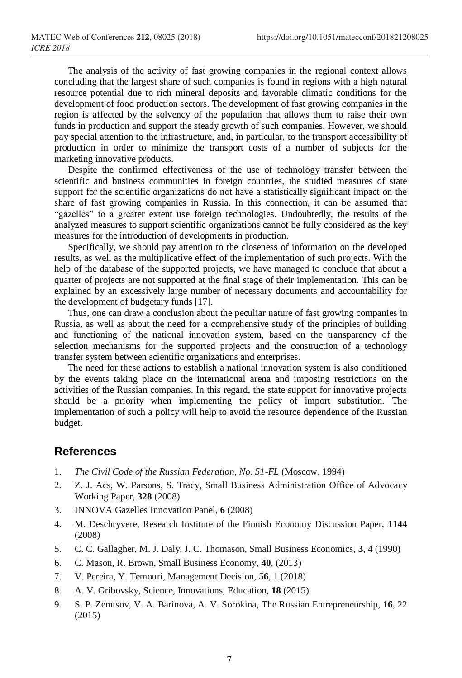The analysis of the activity of fast growing companies in the regional context allows concluding that the largest share of such companies is found in regions with a high natural resource potential due to rich mineral deposits and favorable climatic conditions for the development of food production sectors. The development of fast growing companies in the region is affected by the solvency of the population that allows them to raise their own funds in production and support the steady growth of such companies. However, we should pay special attention to the infrastructure, and, in particular, to the transport accessibility of production in order to minimize the transport costs of a number of subjects for the marketing innovative products.

Despite the confirmed effectiveness of the use of technology transfer between the scientific and business communities in foreign countries, the studied measures of state support for the scientific organizations do not have a statistically significant impact on the share of fast growing companies in Russia. In this connection, it can be assumed that "gazelles" to a greater extent use foreign technologies. Undoubtedly, the results of the analyzed measures to support scientific organizations cannot be fully considered as the key measures for the introduction of developments in production.

Specifically, we should pay attention to the closeness of information on the developed results, as well as the multiplicative effect of the implementation of such projects. With the help of the database of the supported projects, we have managed to conclude that about a quarter of projects are not supported at the final stage of their implementation. This can be explained by an excessively large number of necessary documents and accountability for the development of budgetary funds [17].

Thus, one can draw a conclusion about the peculiar nature of fast growing companies in Russia, as well as about the need for a comprehensive study of the principles of building and functioning of the national innovation system, based on the transparency of the selection mechanisms for the supported projects and the construction of a technology transfer system between scientific organizations and enterprises.

The need for these actions to establish a national innovation system is also conditioned by the events taking place on the international arena and imposing restrictions on the activities of the Russian companies. In this regard, the state support for innovative projects should be a priority when implementing the policy of import substitution. The implementation of such a policy will help to avoid the resource dependence of the Russian budget.

### **References**

- 1. *The Civil Code of the Russian Federation, No. 51-FL* (Moscow, 1994)
- 2. Z. J. Acs, W. Parsons, S. Tracy, Small Business Administration Office of Advocacy Working Paper, **328** (2008)
- 3. INNOVA Gazelles Innovation Panel, **6** (2008)
- 4. M. Deschryvere, Research Institute of the Finnish Economy Discussion Paper, **1144**  (2008)
- 5. C. C. Gallagher, M. J. Daly, J. C. Thomason, Small Business Economics, **3**, 4 (1990)
- 6. C. Mason, R. Brown, Small Business Economy, **40**, (2013)
- 7. V. Pereira, Y. Temouri, Management Decision, **56**, 1 (2018)
- 8. A. V. Gribovsky, Science, Innovations, Education, **18** (2015)
- 9. S. P. Zemtsov, V. A. Barinova, A. V. Sorokina, The Russian Entrepreneurship, **16**, 22 (2015)